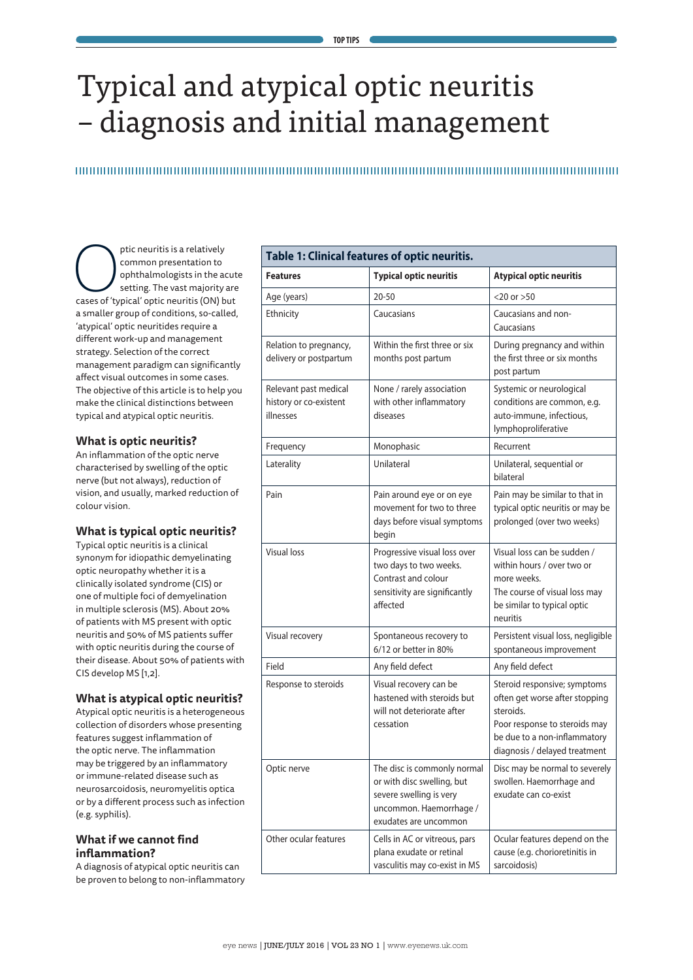# Typical and atypical optic neuritis – diagnosis and initial management

ptic neuritis is a relatively<br>
common presentation to<br>
setting. The vast majority are<br>
cases of 'typical' optic neuritis (ON) but common presentation to ophthalmologists in the acute setting. The vast majority are a smaller group of conditions, so-called, 'atypical' optic neuritides require a different work-up and management strategy. Selection of the correct management paradigm can significantly affect visual outcomes in some cases. The objective of this article is to help you make the clinical distinctions between typical and atypical optic neuritis.

## **What is optic neuritis?**

An inflammation of the optic nerve characterised by swelling of the optic nerve (but not always), reduction of vision, and usually, marked reduction of colour vision.

## **What is typical optic neuritis?**

Typical optic neuritis is a clinical synonym for idiopathic demyelinating optic neuropathy whether it is a clinically isolated syndrome (CIS) or one of multiple foci of demyelination in multiple sclerosis (MS). About 20% of patients with MS present with optic neuritis and 50% of MS patients suffer with optic neuritis during the course of their disease. About 50% of patients with CIS develop MS [1,2].

# **What is atypical optic neuritis?**

Atypical optic neuritis is a heterogeneous collection of disorders whose presenting features suggest inflammation of the optic nerve. The inflammation may be triggered by an inflammatory or immune-related disease such as neurosarcoidosis, neuromyelitis optica or by a different process such as infection (e.g. syphilis).

# **What if we cannot find inflammation?**

A diagnosis of atypical optic neuritis can be proven to belong to non-inflammatory

| Table 1: Clinical features of optic neuritis.                |                                                                                                                                          |                                                                                                                                                                               |  |  |
|--------------------------------------------------------------|------------------------------------------------------------------------------------------------------------------------------------------|-------------------------------------------------------------------------------------------------------------------------------------------------------------------------------|--|--|
| <b>Features</b>                                              | <b>Typical optic neuritis</b>                                                                                                            | <b>Atypical optic neuritis</b>                                                                                                                                                |  |  |
| Age (years)                                                  | $20 - 50$                                                                                                                                | $<$ 20 or $>$ 50                                                                                                                                                              |  |  |
| Ethnicity                                                    | Caucasians                                                                                                                               | Caucasians and non-<br>Caucasians                                                                                                                                             |  |  |
| Relation to pregnancy,<br>delivery or postpartum             | Within the first three or six<br>months post partum                                                                                      | During pregnancy and within<br>the first three or six months<br>post partum                                                                                                   |  |  |
| Relevant past medical<br>history or co-existent<br>illnesses | None / rarely association<br>with other inflammatory<br>diseases                                                                         | Systemic or neurological<br>conditions are common, e.g.<br>auto-immune, infectious,<br>lymphoproliferative                                                                    |  |  |
| Frequency                                                    | Monophasic                                                                                                                               | Recurrent                                                                                                                                                                     |  |  |
| Laterality                                                   | Unilateral                                                                                                                               | Unilateral, sequential or<br>bilateral                                                                                                                                        |  |  |
| Pain                                                         | Pain around eye or on eye<br>movement for two to three<br>days before visual symptoms<br>begin                                           | Pain may be similar to that in<br>typical optic neuritis or may be<br>prolonged (over two weeks)                                                                              |  |  |
| <b>Visual loss</b>                                           | Progressive visual loss over<br>two days to two weeks.<br>Contrast and colour<br>sensitivity are significantly<br>affected               | Visual loss can be sudden /<br>within hours / over two or<br>more weeks.<br>The course of visual loss may<br>be similar to typical optic<br>neuritis                          |  |  |
| Visual recovery                                              | Spontaneous recovery to<br>6/12 or better in 80%                                                                                         | Persistent visual loss, negligible<br>spontaneous improvement                                                                                                                 |  |  |
| Field                                                        | Any field defect                                                                                                                         | Any field defect                                                                                                                                                              |  |  |
| Response to steroids                                         | Visual recovery can be<br>hastened with steroids but<br>will not deteriorate after<br>cessation                                          | Steroid responsive; symptoms<br>often get worse after stopping<br>steroids.<br>Poor response to steroids may<br>be due to a non-inflammatory<br>diagnosis / delayed treatment |  |  |
| Optic nerve                                                  | The disc is commonly normal<br>or with disc swelling, but<br>severe swelling is very<br>uncommon. Haemorrhage /<br>exudates are uncommon | Disc may be normal to severely<br>swollen. Haemorrhage and<br>exudate can co-exist                                                                                            |  |  |
| Other ocular features                                        | Cells in AC or vitreous, pars<br>plana exudate or retinal<br>vasculitis may co-exist in MS                                               | Ocular features depend on the<br>cause (e.g. chorioretinitis in<br>sarcoidosis)                                                                                               |  |  |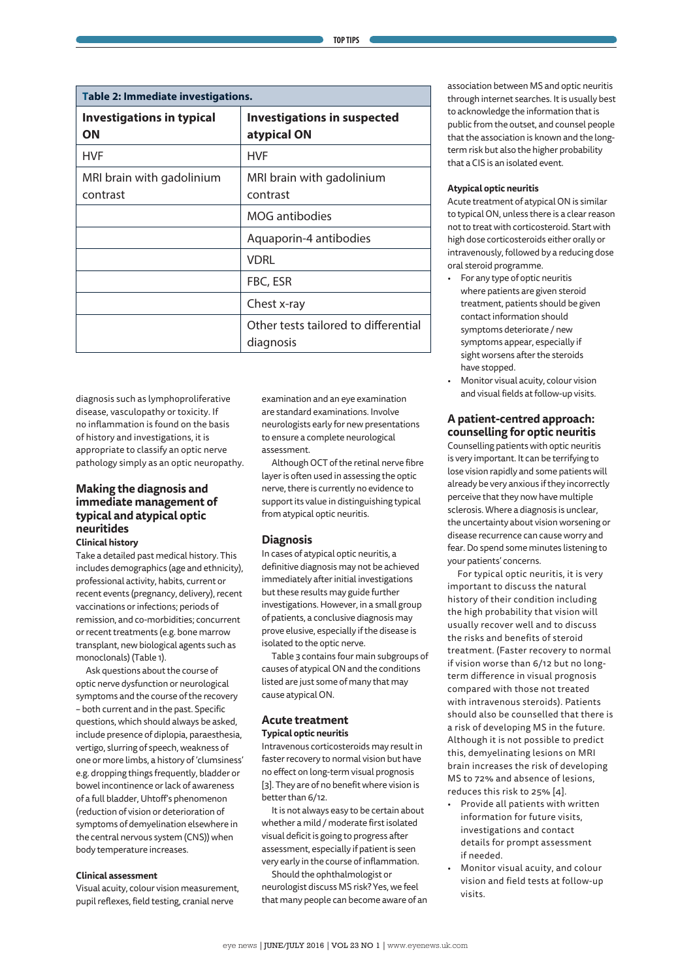| Table 2: Immediate investigations.     |                                                   |  |  |
|----------------------------------------|---------------------------------------------------|--|--|
| <b>Investigations in typical</b><br>OΝ | <b>Investigations in suspected</b><br>atypical ON |  |  |
| <b>HVF</b>                             | <b>HVF</b>                                        |  |  |
| MRI brain with gadolinium<br>contrast  | MRI brain with gadolinium<br>contrast             |  |  |
|                                        | MOG antibodies                                    |  |  |
|                                        | Aquaporin-4 antibodies                            |  |  |
|                                        | <b>VDRL</b>                                       |  |  |
|                                        | FBC, ESR                                          |  |  |
|                                        | Chest x-ray                                       |  |  |
|                                        | Other tests tailored to differential<br>diagnosis |  |  |

diagnosis such as lymphoproliferative disease, vasculopathy or toxicity. If no inflammation is found on the basis of history and investigations, it is appropriate to classify an optic nerve pathology simply as an optic neuropathy.

# **Making the diagnosis and immediate management of typical and atypical optic neuritides**

## **Clinical history**

Take a detailed past medical history. This includes demographics (age and ethnicity), professional activity, habits, current or recent events (pregnancy, delivery), recent vaccinations or infections; periods of remission, and co-morbidities; concurrent or recent treatments (e.g. bone marrow transplant, new biological agents such as monoclonals) (Table 1).

Ask questions about the course of optic nerve dysfunction or neurological symptoms and the course of the recovery – both current and in the past. Specific questions, which should always be asked, include presence of diplopia, paraesthesia, vertigo, slurring of speech, weakness of one or more limbs, a history of 'clumsiness' e.g. dropping things frequently, bladder or bowel incontinence or lack of awareness of a full bladder, Uhtoff's phenomenon (reduction of vision or deterioration of symptoms of demyelination elsewhere in the central nervous system (CNS)) when body temperature increases.

#### **Clinical assessment**

Visual acuity, colour vision measurement, pupil reflexes, field testing, cranial nerve

examination and an eye examination are standard examinations. Involve neurologists early for new presentations to ensure a complete neurological assessment.

Although OCT of the retinal nerve fibre layer is often used in assessing the optic nerve, there is currently no evidence to support its value in distinguishing typical from atypical optic neuritis.

#### **Diagnosis**

In cases of atypical optic neuritis, a definitive diagnosis may not be achieved immediately after initial investigations but these results may guide further investigations. However, in a small group of patients, a conclusive diagnosis may prove elusive, especially if the disease is isolated to the optic nerve.

Table 3 contains four main subgroups of causes of atypical ON and the conditions listed are just some of many that may cause atypical ON.

### **Acute treatment Typical optic neuritis**

Intravenous corticosteroids may result in

faster recovery to normal vision but have no effect on long-term visual prognosis [3]. They are of no benefit where vision is better than 6/12.

It is not always easy to be certain about whether a mild / moderate first isolated visual deficit is going to progress after assessment, especially if patient is seen very early in the course of inflammation.

Should the ophthalmologist or neurologist discuss MS risk? Yes, we feel that many people can become aware of an

association between MS and optic neuritis through internet searches. It is usually best to acknowledge the information that is public from the outset, and counsel people that the association is known and the longterm risk but also the higher probability that a CIS is an isolated event.

#### **Atypical optic neuritis**

Acute treatment of atypical ON is similar to typical ON, unless there is a clear reason not to treat with corticosteroid. Start with high dose corticosteroids either orally or intravenously, followed by a reducing dose oral steroid programme.

- For any type of optic neuritis where patients are given steroid treatment, patients should be given contact information should symptoms deteriorate / new symptoms appear, especially if sight worsens after the steroids have stopped.
- Monitor visual acuity, colour vision and visual fields at follow-up visits.

# **A patient-centred approach: counselling for optic neuritis**

Counselling patients with optic neuritis is very important. It can be terrifying to lose vision rapidly and some patients will already be very anxious if they incorrectly perceive that they now have multiple sclerosis. Where a diagnosis is unclear, the uncertainty about vision worsening or disease recurrence can cause worry and fear. Do spend some minutes listening to your patients' concerns.

For typical optic neuritis, it is very important to discuss the natural history of their condition including the high probability that vision will usually recover well and to discuss the risks and benefits of steroid treatment. (Faster recovery to normal if vision worse than 6/12 but no longterm difference in visual prognosis compared with those not treated with intravenous steroids). Patients should also be counselled that there is a risk of developing MS in the future. Although it is not possible to predict this, demyelinating lesions on MRI brain increases the risk of developing MS to 72% and absence of lesions, reduces this risk to 25% [4].

- Provide all patients with written information for future visits, investigations and contact details for prompt assessment if needed.
- Monitor visual acuity, and colour vision and field tests at follow-up visits.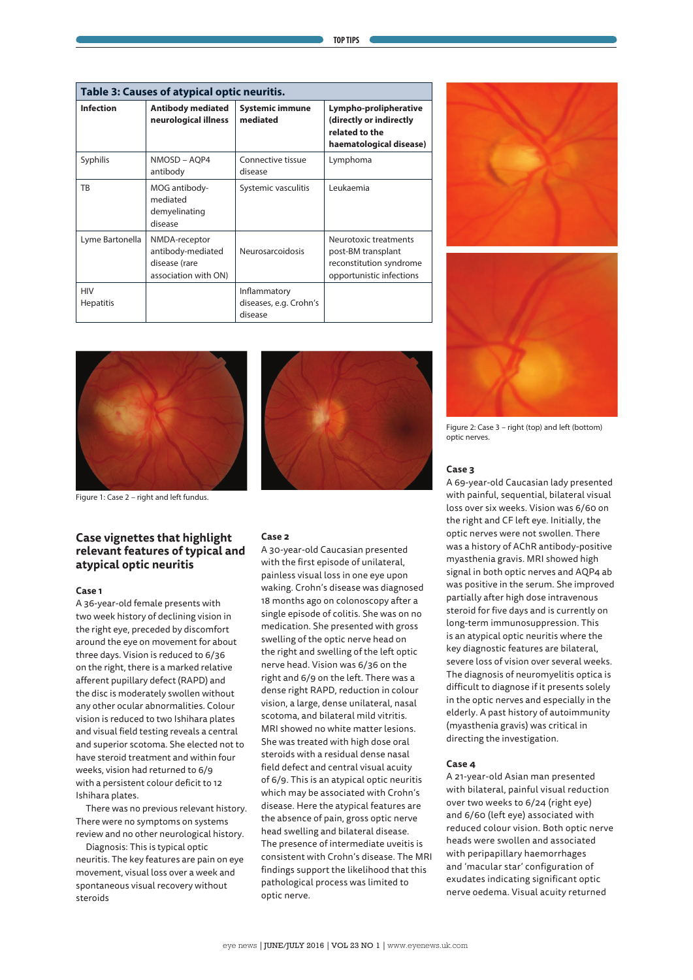| Table 3: Causes of atypical optic neuritis. |                                                                             |                                                   |                                                                                                    |  |  |
|---------------------------------------------|-----------------------------------------------------------------------------|---------------------------------------------------|----------------------------------------------------------------------------------------------------|--|--|
| <b>Infection</b>                            | <b>Antibody mediated</b><br>neurological illness                            | <b>Systemic immune</b><br>mediated                | Lympho-prolipherative<br>(directly or indirectly<br>related to the<br>haematological disease)      |  |  |
| Syphilis                                    | NMOSD - AQP4<br>antibody                                                    | Connective tissue<br>disease                      | Lymphoma                                                                                           |  |  |
| ТB                                          | MOG antibody-<br>mediated<br>demyelinating<br>disease                       | Systemic vasculitis                               | Leukaemia                                                                                          |  |  |
| Lyme Bartonella                             | NMDA-receptor<br>antibody-mediated<br>disease (rare<br>association with ON) | <b>Neurosarcoidosis</b>                           | Neurotoxic treatments<br>post-BM transplant<br>reconstitution syndrome<br>opportunistic infections |  |  |
| <b>HIV</b><br><b>Hepatitis</b>              |                                                                             | Inflammatory<br>diseases, e.g. Crohn's<br>disease |                                                                                                    |  |  |



Figure 1: Case 2 – right and left fundus.

## **Case vignettes that highlight relevant features of typical and atypical optic neuritis**

#### **Case 1**

A 36-year-old female presents with two week history of declining vision in the right eye, preceded by discomfort around the eye on movement for about three days. Vision is reduced to 6/36 on the right, there is a marked relative afferent pupillary defect (RAPD) and the disc is moderately swollen without any other ocular abnormalities. Colour vision is reduced to two Ishihara plates and visual field testing reveals a central and superior scotoma. She elected not to have steroid treatment and within four weeks, vision had returned to 6/9 with a persistent colour deficit to 12 Ishihara plates.

There was no previous relevant history. There were no symptoms on systems review and no other neurological history.

Diagnosis: This is typical optic neuritis. The key features are pain on eye movement, visual loss over a week and spontaneous visual recovery without steroids



#### **Case 2**

A 30-year-old Caucasian presented with the first episode of unilateral, painless visual loss in one eye upon waking. Crohn's disease was diagnosed 18 months ago on colonoscopy after a single episode of colitis. She was on no medication. She presented with gross swelling of the optic nerve head on the right and swelling of the left optic nerve head. Vision was 6/36 on the right and 6/9 on the left. There was a dense right RAPD, reduction in colour vision, a large, dense unilateral, nasal scotoma, and bilateral mild vitritis. MRI showed no white matter lesions. She was treated with high dose oral steroids with a residual dense nasal field defect and central visual acuity of 6/9. This is an atypical optic neuritis which may be associated with Crohn's disease. Here the atypical features are the absence of pain, gross optic nerve head swelling and bilateral disease. The presence of intermediate uveitis is consistent with Crohn's disease. The MRI findings support the likelihood that this pathological process was limited to optic nerve.





Figure 2: Case 3 – right (top) and left (bottom) optic nerves.

#### **Case 3**

A 69-year-old Caucasian lady presented with painful, sequential, bilateral visual loss over six weeks. Vision was 6/60 on the right and CF left eye. Initially, the optic nerves were not swollen. There was a history of AChR antibody-positive myasthenia gravis. MRI showed high signal in both optic nerves and AQP4 ab was positive in the serum. She improved partially after high dose intravenous steroid for five days and is currently on long-term immunosuppression. This is an atypical optic neuritis where the key diagnostic features are bilateral, severe loss of vision over several weeks. The diagnosis of neuromyelitis optica is difficult to diagnose if it presents solely in the optic nerves and especially in the elderly. A past history of autoimmunity (myasthenia gravis) was critical in directing the investigation.

#### **Case 4**

A 21-year-old Asian man presented with bilateral, painful visual reduction over two weeks to 6/24 (right eye) and 6/60 (left eye) associated with reduced colour vision. Both optic nerve heads were swollen and associated with peripapillary haemorrhages and 'macular star' configuration of exudates indicating significant optic nerve oedema. Visual acuity returned